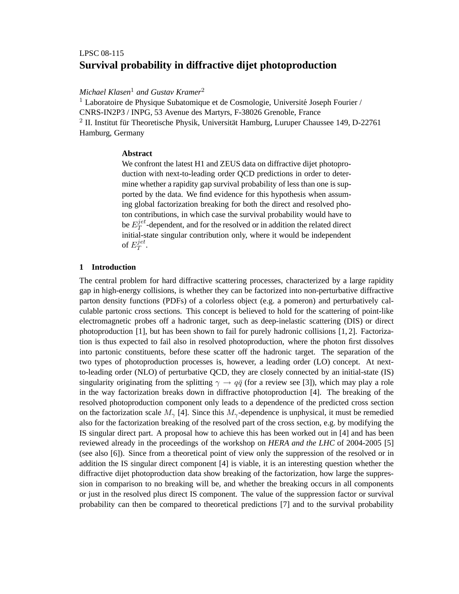# **Survival probability in diffractive dijet photoproduction** LPSC 08-115

*Michael Klasen*<sup>1</sup> *and Gustav Kramer*<sup>2</sup>

<sup>1</sup> Laboratoire de Physique Subatomique et de Cosmologie, Université Joseph Fourier / CNRS-IN2P3 / INPG, 53 Avenue des Martyrs, F-38026 Grenoble, France <sup>2</sup> II. Institut für Theoretische Physik, Universität Hamburg, Luruper Chaussee 149, D-22761 Hamburg, Germany

## **Abstract**

We confront the latest H1 and ZEUS data on diffractive dijet photoproduction with next-to-leading order QCD predictions in order to determine whether a rapidity gap survival probability of less than one is supported by the data. We find evidence for this hypothesis when assuming global factorization breaking for both the direct and resolved photon contributions, in which case the survival probability would have to be  $E_T^{jet}$  $T<sup>jet</sup>$ -dependent, and for the resolved or in addition the related direct initial-state singular contribution only, where it would be independent of  $E_T^{jet}$  $_T^{jet}.$ 

## **1 Introduction**

The central problem for hard diffractive scattering processes, characterized by a large rapidity gap in high-energy collisions, is whether they can be factorized into non-perturbative diffractive parton density functions (PDFs) of a colorless object (e.g. a pomeron) and perturbatively calculable partonic cross sections. This concept is believed to hold for the scattering of point-like electromagnetic probes off a hadronic target, such as deep-inelastic scattering (DIS) or direct photoproduction [1], but has been shown to fail for purely hadronic collisions [1, 2]. Factorization is thus expected to fail also in resolved photoproduction, where the photon first dissolves into partonic constituents, before these scatter off the hadronic target. The separation of the two types of photoproduction processes is, however, a leading order (LO) concept. At nextto-leading order (NLO) of perturbative QCD, they are closely connected by an initial-state (IS) singularity originating from the splitting  $\gamma \rightarrow q\bar{q}$  (for a review see [3]), which may play a role in the way factorization breaks down in diffractive photoproduction [4]. The breaking of the resolved photoproduction component only leads to a dependence of the predicted cross section on the factorization scale  $M_{\gamma}$  [4]. Since this  $M_{\gamma}$ -dependence is unphysical, it must be remedied also for the factorization breaking of the resolved part of the cross section, e.g. by modifying the IS singular direct part. A proposal how to achieve this has been worked out in [4] and has been reviewed already in the proceedings of the workshop on *HERA and the LHC* of 2004-2005 [5] (see also [6]). Since from a theoretical point of view only the suppression of the resolved or in addition the IS singular direct component [4] is viable, it is an interesting question whether the diffractive dijet photoproduction data show breaking of the factorization, how large the suppression in comparison to no breaking will be, and whether the breaking occurs in all components or just in the resolved plus direct IS component. The value of the suppression factor or survival probability can then be compared to theoretical predictions [7] and to the survival probability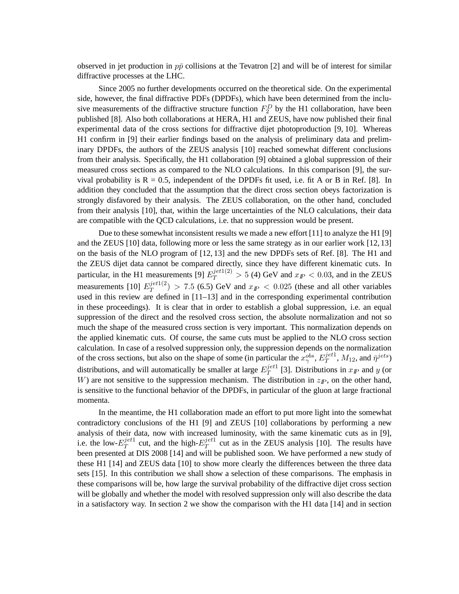observed in jet production in  $p\bar{p}$  collisions at the Tevatron [2] and will be of interest for similar diffractive processes at the LHC.

Since 2005 no further developments occurred on the theoretical side. On the experimental side, however, the final diffractive PDFs (DPDFs), which have been determined from the inclusive measurements of the diffractive structure function  $F_2^D$  by the H1 collaboration, have been published [8]. Also both collaborations at HERA, H1 and ZEUS, have now published their final experimental data of the cross sections for diffractive dijet photoproduction [9, 10]. Whereas H1 confirm in [9] their earlier findings based on the analysis of preliminary data and preliminary DPDFs, the authors of the ZEUS analysis [10] reached somewhat different conclusions from their analysis. Specifically, the H1 collaboration [9] obtained a global suppression of their measured cross sections as compared to the NLO calculations. In this comparison [9], the survival probability is  $R = 0.5$ , independent of the DPDFs fit used, i.e. fit A or B in Ref. [8]. In addition they concluded that the assumption that the direct cross section obeys factorization is strongly disfavored by their analysis. The ZEUS collaboration, on the other hand, concluded from their analysis [10], that, within the large uncertainties of the NLO calculations, their data are compatible with the QCD calculations, i.e. that no suppression would be present.

Due to these somewhat inconsistent results we made a new effort [11] to analyze the H1 [9] and the ZEUS [10] data, following more or less the same strategy as in our earlier work [12, 13] on the basis of the NLO program of [12, 13] and the new DPDFs sets of Ref. [8]. The H1 and the ZEUS dijet data cannot be compared directly, since they have different kinematic cuts. In particular, in the H1 measurements [9]  $E_T^{jet1(2)} > 5$  (4) GeV and  $x_T < 0.03$ , and in the ZEUS measurements [10]  $E_T^{jet1(2)}$  $T^{(2)}$  > 7.5 (6.5) GeV and  $x_{I\!\!P}$  < 0.025 (these and all other variables used in this review are defined in [11–13] and in the corresponding experimental contribution in these proceedings). It is clear that in order to establish a global suppression, i.e. an equal suppression of the direct and the resolved cross section, the absolute normalization and not so much the shape of the measured cross section is very important. This normalization depends on the applied kinematic cuts. Of course, the same cuts must be applied to the NLO cross section calculation. In case of a resolved suppression only, the suppression depends on the normalization of the cross sections, but also on the shape of some (in particular the  $x_{\gamma}^{obs}$ ,  $E_T^{jet1}$  $j^{et1}_{T}$ ,  $M_{12}$ , and  $\bar{\eta}^{jets}$ ) distributions, and will automatically be smaller at large  $E_T^{jet1}$  $T^{jet1}$  [3]. Distributions in  $x_{I\!\!P}$  and y (or W) are not sensitive to the suppression mechanism. The distribution in  $z_p$ , on the other hand, is sensitive to the functional behavior of the DPDFs, in particular of the gluon at large fractional momenta.

In the meantime, the H1 collaboration made an effort to put more light into the somewhat contradictory conclusions of the H1 [9] and ZEUS [10] collaborations by performing a new analysis of their data, now with increased luminosity, with the same kinematic cuts as in [9], i.e. the low- $E_T^{jet1}$  $T^{jet1}$  cut, and the high- $E_T^{jet1}$  $T^{pet1}$  cut as in the ZEUS analysis [10]. The results have been presented at DIS 2008 [14] and will be published soon. We have performed a new study of these H1 [14] and ZEUS data [10] to show more clearly the differences between the three data sets [15]. In this contribution we shall show a selection of these comparisons. The emphasis in these comparisons will be, how large the survival probability of the diffractive dijet cross section will be globally and whether the model with resolved suppression only will also describe the data in a satisfactory way. In section 2 we show the comparison with the H1 data [14] and in section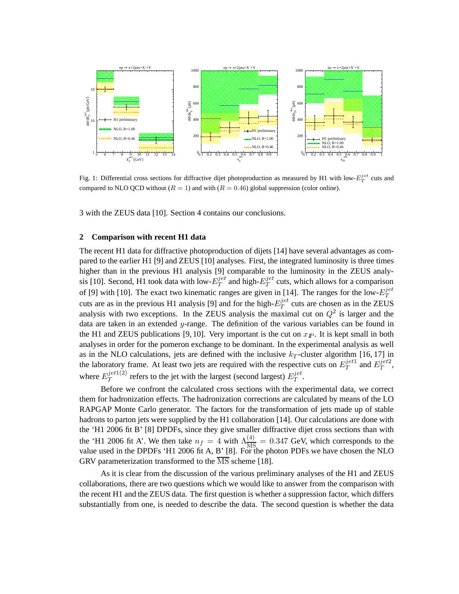

Fig. 1: Differential cross sections for diffractive dijet photoproduction as measured by H1 with low- $E_T^{jet}$  cuts and compared to NLO QCD without  $(R = 1)$  and with  $(R = 0.46)$  global suppression (color online).

3 with the ZEUS data [10]. Section 4 contains our conclusions.

### **2 Comparison with recent H1 data**

The recent H1 data for diffractive photoproduction of dijets [14] have several advantages as compared to the earlier H1 [9] and ZEUS [10] analyses. First, the integrated luminosity is three times higher than in the previous H1 analysis [9] comparable to the luminosity in the ZEUS analysis [10]. Second, H1 took data with low- $E_T^{jet}$  $T^{jet}$  and high- $E_T^{jet}$  $T<sup>jet</sup>$  cuts, which allows for a comparison of [9] with [10]. The exact two kinematic ranges are given in [14]. The ranges for the low- $E_T^{jet}$ T cuts are as in the previous H1 analysis [9] and for the high- $E_T^{jet}$  $T<sup>jet</sup>$  cuts are chosen as in the ZEUS analysis with two exceptions. In the ZEUS analysis the maximal cut on  $Q^2$  is larger and the data are taken in an extended  $y$ -range. The definition of the various variables can be found in the H1 and ZEUS publications [9, 10]. Very important is the cut on  $x_{I\!\!P}$ . It is kept small in both analyses in order for the pomeron exchange to be dominant. In the experimental analysis as well as in the NLO calculations, jets are defined with the inclusive  $k_T$ -cluster algorithm [16, 17] in the laboratory frame. At least two jets are required with the respective cuts on  $E_T^{jet1}$  $T^{jet1}$  and  $E^{jet2}_T$  $_{T}^{jet2},$ where  $E_T^{jet1(2)}$  $T^{jet1(2)}$  refers to the jet with the largest (second largest)  $E_T^{jet1}$  $_T^{jet}.$ 

Before we confront the calculated cross sections with the experimental data, we correct them for hadronization effects. The hadronization corrections are calculated by means of the LO RAPGAP Monte Carlo generator. The factors for the transformation of jets made up of stable hadrons to parton jets were supplied by the H1 collaboration [14]. Our calculations are done with the 'H1 2006 fit B' [8] DPDFs, since they give smaller diffractive dijet cross sections than with the 'H1 2006 fit A'. We then take  $n_f = 4$  with  $\Lambda_{MS}^{(4)} = 0.347$  GeV, which corresponds to the value used in the DPDFs 'H1 2006 fit A, B' [8]. For the photon PDFs we have chosen the NLO GRV parameterization transformed to the  $\overline{\text{MS}}$  scheme [18].

As it is clear from the discussion of the various preliminary analyses of the H1 and ZEUS collaborations, there are two questions which we would like to answer from the comparison with the recent H1 and the ZEUS data. The first question is whether a suppression factor, which differs substantially from one, is needed to describe the data. The second question is whether the data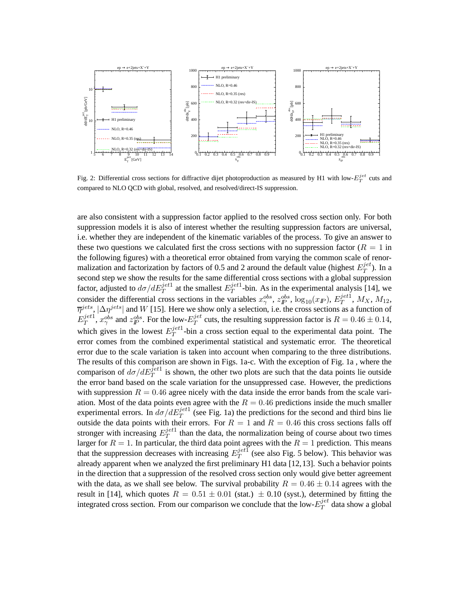

Fig. 2: Differential cross sections for diffractive dijet photoproduction as measured by H1 with low- $E_T^{jet}$  cuts and compared to NLO QCD with global, resolved, and resolved/direct-IS suppression.

are also consistent with a suppression factor applied to the resolved cross section only. For both suppression models it is also of interest whether the resulting suppression factors are universal, i.e. whether they are independent of the kinematic variables of the process. To give an answer to these two questions we calculated first the cross sections with no suppression factor  $(R = 1$  in the following figures) with a theoretical error obtained from varying the common scale of renormalization and factorization by factors of 0.5 and 2 around the default value (highest  $E_T^{jet}$  $T^{jet}$ ). In a second step we show the results for the same differential cross sections with a global suppression factor, adjusted to  $d\sigma/dE_T^{jet1}$  at the smallest  $E_T^{jet1}$  $T^{jet1}$ -bin. As in the experimental analysis [14], we consider the differential cross sections in the variables  $x_{\gamma}^{obs}$ ,  $z_{p}^{obs}$ ,  $\log_{10}(x_{I\!\!P})$ ,  $E_{T}^{jet1}$  $T^{jet1}$ ,  $M_X$ ,  $M_{12}$ ,  $\overline{\eta}^{jets}$ ,  $|\Delta \eta^{jets}|$  and W [15]. Here we show only a selection, i.e. the cross sections as a function of  $E_T^{jet1}$  $j^{et1}_{T}$ ,  $x^{obs}_{\gamma}$  and  $z^{obs}_{IP}$ . For the low- $E^{jet}_T$  $T^{jet}$  cuts, the resulting suppression factor is  $R = 0.46 \pm 0.14$ , which gives in the lowest  $E_T^{jet1}$  $T<sup>jet1</sup>$ -bin a cross section equal to the experimental data point. The error comes from the combined experimental statistical and systematic error. The theoretical error due to the scale variation is taken into account when comparing to the three distributions. The results of this comparison are shown in Figs. 1a-c. With the exception of Fig. 1a , where the comparison of  $d\sigma/dE_T^{jet1}$  is shown, the other two plots are such that the data points lie outside the error band based on the scale variation for the unsuppressed case. However, the predictions with suppression  $R = 0.46$  agree nicely with the data inside the error bands from the scale variation. Most of the data points even agree with the  $R = 0.46$  predictions inside the much smaller experimental errors. In  $d\sigma/dE_T^{jet1}$  (see Fig. 1a) the predictions for the second and third bins lie outside the data points with their errors. For  $R = 1$  and  $R = 0.46$  this cross sections falls off stronger with increasing  $E_T^{jet1}$  $T<sup>jet1</sup>$  than the data, the normalization being of course about two times larger for  $R = 1$ . In particular, the third data point agrees with the  $R = 1$  prediction. This means that the suppression decreases with increasing  $E_T^{jet1}$  $T^{jet1}$  (see also Fig. 5 below). This behavior was already apparent when we analyzed the first preliminary H1 data [12,13]. Such a behavior points in the direction that a suppression of the resolved cross section only would give better agreement with the data, as we shall see below. The survival probability  $R = 0.46 \pm 0.14$  agrees with the result in [14], which quotes  $R = 0.51 \pm 0.01$  (stat.)  $\pm 0.10$  (syst.), determined by fitting the integrated cross section. From our comparison we conclude that the low- $E_T^{jet}$  $T^{\mathcal{G}et}$  data show a global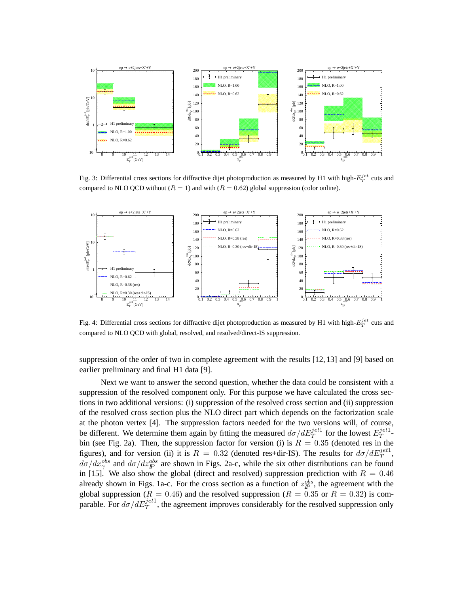

Fig. 3: Differential cross sections for diffractive dijet photoproduction as measured by H1 with high- $E_T^{jet}$  cuts and compared to NLO QCD without ( $R = 1$ ) and with ( $R = 0.62$ ) global suppression (color online).



Fig. 4: Differential cross sections for diffractive dijet photoproduction as measured by H1 with high- $E_T^{jet}$  cuts and compared to NLO QCD with global, resolved, and resolved/direct-IS suppression.

suppression of the order of two in complete agreement with the results [12, 13] and [9] based on earlier preliminary and final H1 data [9].

Next we want to answer the second question, whether the data could be consistent with a suppression of the resolved component only. For this purpose we have calculated the cross sections in two additional versions: (i) suppression of the resolved cross section and (ii) suppression of the resolved cross section plus the NLO direct part which depends on the factorization scale at the photon vertex [4]. The suppression factors needed for the two versions will, of course, be different. We determine them again by fitting the measured  $d\sigma/dE_T^{jet1}$  for the lowest  $E_T^{jet1}$  $T^{\mu\nu}$  bin (see Fig. 2a). Then, the suppression factor for version (i) is  $R = 0.35$  (denoted res in the figures), and for version (ii) it is  $R = 0.32$  (denoted res+dir-IS). The results for  $d\sigma/dE_T^{jet1}$ ,  $d\sigma/dx_{\gamma}^{obs}$  and  $d\sigma/dz_{\gamma}^{obs}$  are shown in Figs. 2a-c, while the six other distributions can be found in [15]. We also show the global (direct and resolved) suppression prediction with  $R = 0.46$ already shown in Figs. 1a-c. For the cross section as a function of  $z_{\rm IP}^{obs}$ , the agreement with the global suppression ( $R = 0.46$ ) and the resolved suppression ( $R = 0.35$  or  $R = 0.32$ ) is comparable. For  $d\sigma/dE_T^{jet1}$ , the agreement improves considerably for the resolved suppression only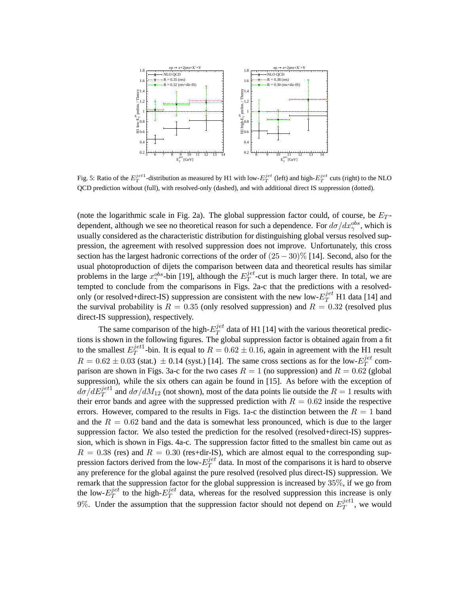

Fig. 5: Ratio of the  $E_T^{jet1}$ -distribution as measured by H1 with low- $E_T^{jet}$  (left) and high- $E_T^{jet}$  cuts (right) to the NLO QCD prediction without (full), with resolved-only (dashed), and with additional direct IS suppression (dotted).

(note the logarithmic scale in Fig. 2a). The global suppression factor could, of course, be  $E_T$ dependent, although we see no theoretical reason for such a dependence. For  $d\sigma/dx_{\gamma}^{obs}$ , which is usually considered as the characteristic distribution for distinguishing global versus resolved suppression, the agreement with resolved suppression does not improve. Unfortunately, this cross section has the largest hadronic corrections of the order of  $(25 - 30)\%$  [14]. Second, also for the usual photoproduction of dijets the comparison between data and theoretical results has similar problems in the large  $x_{\gamma}^{obs}$ -bin [19], although the  $E_T^{jet}$  $T^{jet}$ -cut is much larger there. In total, we are tempted to conclude from the comparisons in Figs. 2a-c that the predictions with a resolvedonly (or resolved+direct-IS) suppression are consistent with the new low- $E_T^{jet}$  H1 data [14] and the survival probability is  $R = 0.35$  (only resolved suppression) and  $R = 0.32$  (resolved plus direct-IS suppression), respectively.

The same comparison of the high- $E_T^{jet}$  $T^{jet}$  data of H1 [14] with the various theoretical predictions is shown in the following figures. The global suppression factor is obtained again from a fit to the smallest  $E_T^{jet1}$  $T^{jet1}_{T}$ -bin. It is equal to  $R = 0.62 \pm 0.16$ , again in agreement with the H1 result  $R = 0.62 \pm 0.03$  (stat.)  $\pm 0.14$  (syst.) [14]. The same cross sections as for the low- $E_T^{jet}$  $T^{jet}$  comparison are shown in Figs. 3a-c for the two cases  $R = 1$  (no suppression) and  $R = 0.62$  (global suppression), while the six others can again be found in [15]. As before with the exception of  $d\sigma/dE_T^{jet1}$  and  $d\sigma/dM_{12}$  (not shown), most of the data points lie outside the  $R=1$  results with their error bands and agree with the suppressed prediction with  $R = 0.62$  inside the respective errors. However, compared to the results in Figs. 1a-c the distinction between the  $R = 1$  band and the  $R = 0.62$  band and the data is somewhat less pronounced, which is due to the larger suppression factor. We also tested the prediction for the resolved (resolved+direct-IS) suppression, which is shown in Figs. 4a-c. The suppression factor fitted to the smallest bin came out as  $R = 0.38$  (res) and  $R = 0.30$  (res+dir-IS), which are almost equal to the corresponding suppression factors derived from the low- $E_T^{jet}$  $T<sup>jet</sup>$  data. In most of the comparisons it is hard to observe any preference for the global against the pure resolved (resolved plus direct-IS) suppression. We remark that the suppression factor for the global suppression is increased by 35%, if we go from the low- $E_T^{jet}$  $T^{jet}$  to the high- $E_T^{jet}$  $T<sup>jet</sup>$  data, whereas for the resolved suppression this increase is only 9%. Under the assumption that the suppression factor should not depend on  $E_T^{jet1}$  $T^{jet1}$ , we would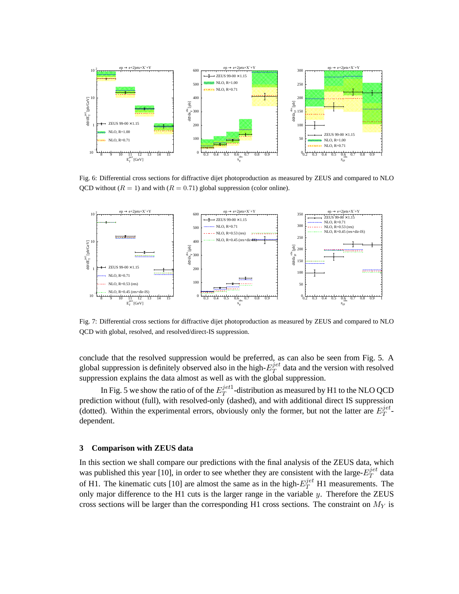

Fig. 6: Differential cross sections for diffractive dijet photoproduction as measured by ZEUS and compared to NLO QCD without ( $R = 1$ ) and with ( $R = 0.71$ ) global suppression (color online).



Fig. 7: Differential cross sections for diffractive dijet photoproduction as measured by ZEUS and compared to NLO QCD with global, resolved, and resolved/direct-IS suppression.

conclude that the resolved suppression would be preferred, as can also be seen from Fig. 5. A global suppression is definitely observed also in the high- $E_T^{jet}$  $T<sup>jet</sup>$  data and the version with resolved suppression explains the data almost as well as with the global suppression.

In Fig. 5 we show the ratio of of the  $E_T^{jet1}$  $T^{jet1}$ -distribution as measured by H1 to the NLO QCD prediction without (full), with resolved-only (dashed), and with additional direct IS suppression (dotted). Within the experimental errors, obviously only the former, but not the latter are  $E_T^{jet}$  $T^{\epsilon\epsilon}$ dependent.

#### **3 Comparison with ZEUS data**

In this section we shall compare our predictions with the final analysis of the ZEUS data, which was published this year [10], in order to see whether they are consistent with the large- $E_T^{jet}$  $T^{\theta t}$  data of H1. The kinematic cuts [10] are almost the same as in the high- $E_T^{jet}$  H1 measurements. The only major difference to the H1 cuts is the larger range in the variable  $y$ . Therefore the ZEUS cross sections will be larger than the corresponding H1 cross sections. The constraint on  $M<sub>Y</sub>$  is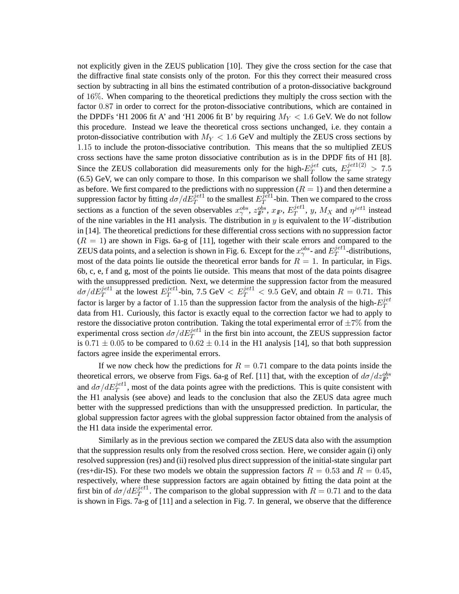not explicitly given in the ZEUS publication [10]. They give the cross section for the case that the diffractive final state consists only of the proton. For this they correct their measured cross section by subtracting in all bins the estimated contribution of a proton-dissociative background of 16%. When comparing to the theoretical predictions they multiply the cross section with the factor 0.87 in order to correct for the proton-dissociative contributions, which are contained in the DPDFs 'H1 2006 fit A' and 'H1 2006 fit B' by requiring  $M_Y < 1.6$  GeV. We do not follow this procedure. Instead we leave the theoretical cross sections unchanged, i.e. they contain a proton-dissociative contribution with  $M_Y < 1.6$  GeV and multiply the ZEUS cross sections by 1.15 to include the proton-dissociative contribution. This means that the so multiplied ZEUS cross sections have the same proton dissociative contribution as is in the DPDF fits of H1 [8]. Since the ZEUS collaboration did measurements only for the high- $E_T^{jet}$  $T_T^{jet}$  cuts,  $E_T^{jet1(2)} > 7.5$ (6.5) GeV, we can only compare to those. In this comparison we shall follow the same strategy as before. We first compared to the predictions with no suppression  $(R = 1)$  and then determine a suppression factor by fitting  $d\sigma/d\bar{E}_T^{jet1}$  to the smallest  $E_T^{\tilde{j}\tilde{e}t1}$  $T^{jet1}$ -bin. Then we compared to the cross sections as a function of the seven observables  $x_{\gamma}^{obs}$ ,  $z_{\text{IP}}^{obs}$ ,  $x_{\text{IP}}$ ,  $E_{\text{T}}^{jet1}$  $T^{jet1}$ , y,  $M_X$  and  $\eta^{jet1}$  instead of the nine variables in the H1 analysis. The distribution in  $y$  is equivalent to the W-distribution in [14]. The theoretical predictions for these differential cross sections with no suppression factor  $(R = 1)$  are shown in Figs. 6a-g of [11], together with their scale errors and compared to the ZEUS data points, and a selection is shown in Fig. 6. Except for the  $x_{\gamma}^{obs}$ - and  $E_T^{jet1}$  $T^{jet1}$ -distributions, most of the data points lie outside the theoretical error bands for  $R = 1$ . In particular, in Figs. 6b, c, e, f and g, most of the points lie outside. This means that most of the data points disagree with the unsuppressed prediction. Next, we determine the suppression factor from the measured  $d\sigma/dE_T^{jet1}$  at the lowest  $E_T^{jet1}$  $T^{jet1}$ -bin, 7.5 GeV  $\langle E_T^{jet1} \rangle$  = 9.5 GeV, and obtain  $R = 0.71$ . This factor is larger by a factor of 1.15 than the suppression factor from the analysis of the high- $E_T^{jet}$ T data from H1. Curiously, this factor is exactly equal to the correction factor we had to apply to restore the dissociative proton contribution. Taking the total experimental error of  $\pm 7\%$  from the experimental cross section  $d\sigma/dE_T^{jet1}$  in the first bin into account, the ZEUS suppression factor is 0.71  $\pm$  0.05 to be compared to 0.62  $\pm$  0.14 in the H1 analysis [14], so that both suppression factors agree inside the experimental errors.

If we now check how the predictions for  $R = 0.71$  compare to the data points inside the theoretical errors, we observe from Figs. 6a-g of Ref. [11] that, with the exception of  $d\sigma/dz_{\rm P}^{obs}$ and  $d\sigma/dE_T^{jet1}$ , most of the data points agree with the predictions. This is quite consistent with the H1 analysis (see above) and leads to the conclusion that also the ZEUS data agree much better with the suppressed predictions than with the unsuppressed prediction. In particular, the global suppression factor agrees with the global suppression factor obtained from the analysis of the H1 data inside the experimental error.

Similarly as in the previous section we compared the ZEUS data also with the assumption that the suppression results only from the resolved cross section. Here, we consider again (i) only resolved suppression (res) and (ii) resolved plus direct suppression of the initial-state singular part (res+dir-IS). For these two models we obtain the suppression factors  $R = 0.53$  and  $R = 0.45$ , respectively, where these suppression factors are again obtained by fitting the data point at the first bin of  $d\sigma/dE_T^{jet1}$ . The comparison to the global suppression with  $R = 0.71$  and to the data is shown in Figs. 7a-g of [11] and a selection in Fig. 7. In general, we observe that the difference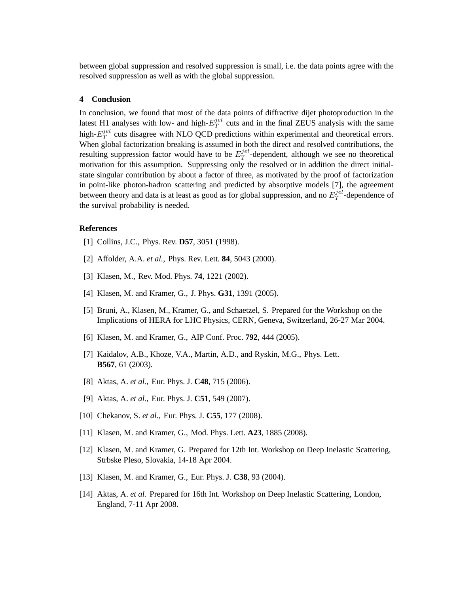between global suppression and resolved suppression is small, i.e. the data points agree with the resolved suppression as well as with the global suppression.

### **4 Conclusion**

In conclusion, we found that most of the data points of diffractive dijet photoproduction in the latest H1 analyses with low- and high- $E_T^{jet}$  $T<sup>jet</sup>$  cuts and in the final ZEUS analysis with the same high- $E_T^{jet}$  $T<sup>jet</sup>$  cuts disagree with NLO QCD predictions within experimental and theoretical errors. When global factorization breaking is assumed in both the direct and resolved contributions, the resulting suppression factor would have to be  $E_T^{jet}$  $T^{jet}$ -dependent, although we see no theoretical motivation for this assumption. Suppressing only the resolved or in addition the direct initialstate singular contribution by about a factor of three, as motivated by the proof of factorization in point-like photon-hadron scattering and predicted by absorptive models [7], the agreement between theory and data is at least as good as for global suppression, and no  $E_T^{jet}$  $T^{jet}$ -dependence of the survival probability is needed.

### **References**

- [1] Collins, J.C., Phys. Rev. **D57**, 3051 (1998).
- [2] Affolder, A.A. *et al.*, Phys. Rev. Lett. **84**, 5043 (2000).
- [3] Klasen, M., Rev. Mod. Phys. **74**, 1221 (2002).
- [4] Klasen, M. and Kramer, G., J. Phys. **G31**, 1391 (2005).
- [5] Bruni, A., Klasen, M., Kramer, G., and Schaetzel, S. Prepared for the Workshop on the Implications of HERA for LHC Physics, CERN, Geneva, Switzerland, 26-27 Mar 2004.
- [6] Klasen, M. and Kramer, G., AIP Conf. Proc. **792**, 444 (2005).
- [7] Kaidalov, A.B., Khoze, V.A., Martin, A.D., and Ryskin, M.G., Phys. Lett. **B567**, 61 (2003).
- [8] Aktas, A. *et al.*, Eur. Phys. J. **C48**, 715 (2006).
- [9] Aktas, A. *et al.*, Eur. Phys. J. **C51**, 549 (2007).
- [10] Chekanov, S. *et al.*, Eur. Phys. J. **C55**, 177 (2008).
- [11] Klasen, M. and Kramer, G., Mod. Phys. Lett. **A23**, 1885 (2008).
- [12] Klasen, M. and Kramer, G. Prepared for 12th Int. Workshop on Deep Inelastic Scattering, Strbske Pleso, Slovakia, 14-18 Apr 2004.
- [13] Klasen, M. and Kramer, G., Eur. Phys. J. **C38**, 93 (2004).
- [14] Aktas, A. *et al.* Prepared for 16th Int. Workshop on Deep Inelastic Scattering, London, England, 7-11 Apr 2008.